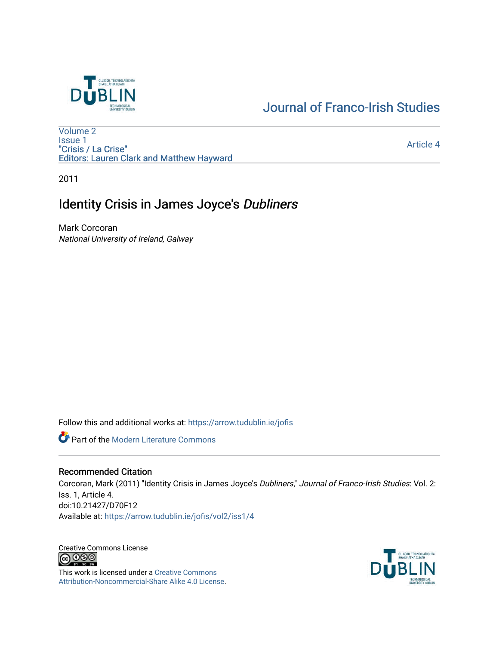

# [Journal of Franco-Irish Studies](https://arrow.tudublin.ie/jofis)

[Volume 2](https://arrow.tudublin.ie/jofis/vol2) [Issue 1](https://arrow.tudublin.ie/jofis/vol2/iss1) "Crisis / La Crise" Editors: Lauren Clark and Matthew Hayward

[Article 4](https://arrow.tudublin.ie/jofis/vol2/iss1/4) 

2011

# Identity Crisis in James Joyce's Dubliners

Mark Corcoran National University of Ireland, Galway

Follow this and additional works at: [https://arrow.tudublin.ie/jofis](https://arrow.tudublin.ie/jofis?utm_source=arrow.tudublin.ie%2Fjofis%2Fvol2%2Fiss1%2F4&utm_medium=PDF&utm_campaign=PDFCoverPages) 

**Part of the Modern Literature Commons** 

## Recommended Citation

Corcoran, Mark (2011) "Identity Crisis in James Joyce's Dubliners," Journal of Franco-Irish Studies: Vol. 2: Iss. 1, Article 4. doi:10.21427/D70F12 Available at: [https://arrow.tudublin.ie/jofis/vol2/iss1/4](https://arrow.tudublin.ie/jofis/vol2/iss1/4?utm_source=arrow.tudublin.ie%2Fjofis%2Fvol2%2Fiss1%2F4&utm_medium=PDF&utm_campaign=PDFCoverPages) 

Creative Commons License<br>  $\bigcirc$  0 0 0

This work is licensed under a [Creative Commons](https://creativecommons.org/licenses/by-nc-sa/4.0/) [Attribution-Noncommercial-Share Alike 4.0 License](https://creativecommons.org/licenses/by-nc-sa/4.0/).

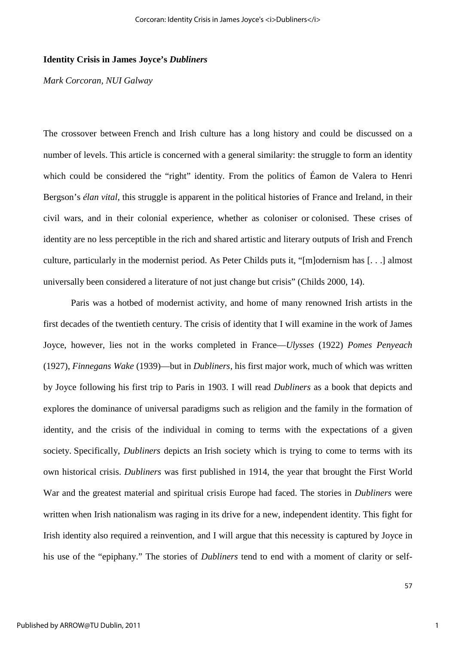### **Identity Crisis in James Joyce's** *Dubliners*

*Mark Corcoran, NUI Galway* 

The crossover between French and Irish culture has a long history and could be discussed on a number of levels. This article is concerned with a general similarity: the struggle to form an identity which could be considered the "right" identity. From the politics of Éamon de Valera to Henri Bergson's *élan vital*, this struggle is apparent in the political histories of France and Ireland, in their civil wars, and in their colonial experience, whether as coloniser or colonised. These crises of identity are no less perceptible in the rich and shared artistic and literary outputs of Irish and French culture, particularly in the modernist period. As Peter Childs puts it, "[m]odernism has [. . .] almost universally been considered a literature of not just change but crisis" (Childs 2000, 14).

Paris was a hotbed of modernist activity, and home of many renowned Irish artists in the first decades of the twentieth century. The crisis of identity that I will examine in the work of James Joyce, however, lies not in the works completed in France—*Ulysses* (1922) *Pomes Penyeach* (1927), *Finnegans Wake* (1939)—but in *Dubliners*, his first major work, much of which was written by Joyce following his first trip to Paris in 1903. I will read *Dubliners* as a book that depicts and explores the dominance of universal paradigms such as religion and the family in the formation of identity, and the crisis of the individual in coming to terms with the expectations of a given society. Specifically, *Dubliners* depicts an Irish society which is trying to come to terms with its own historical crisis. *Dubliners* was first published in 1914, the year that brought the First World War and the greatest material and spiritual crisis Europe had faced. The stories in *Dubliners* were written when Irish nationalism was raging in its drive for a new, independent identity. This fight for Irish identity also required a reinvention, and I will argue that this necessity is captured by Joyce in his use of the "epiphany." The stories of *Dubliners* tend to end with a moment of clarity or self-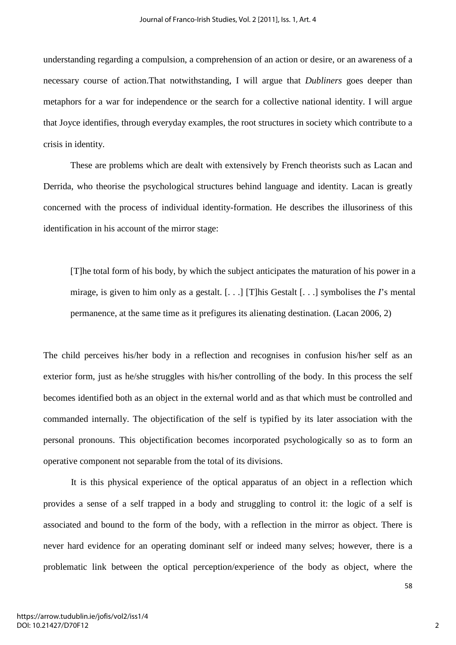understanding regarding a compulsion, a comprehension of an action or desire, or an awareness of a necessary course of action.That notwithstanding, I will argue that *Dubliners* goes deeper than metaphors for a war for independence or the search for a collective national identity. I will argue that Joyce identifies, through everyday examples, the root structures in society which contribute to a crisis in identity.

These are problems which are dealt with extensively by French theorists such as Lacan and Derrida, who theorise the psychological structures behind language and identity. Lacan is greatly concerned with the process of individual identity-formation. He describes the illusoriness of this identification in his account of the mirror stage:

[T]he total form of his body, by which the subject anticipates the maturation of his power in a mirage, is given to him only as a gestalt. [. . .] [T]his Gestalt [. . .] symbolises the *I*'s mental permanence, at the same time as it prefigures its alienating destination. (Lacan 2006, 2)

The child perceives his/her body in a reflection and recognises in confusion his/her self as an exterior form, just as he/she struggles with his/her controlling of the body. In this process the self becomes identified both as an object in the external world and as that which must be controlled and commanded internally. The objectification of the self is typified by its later association with the personal pronouns. This objectification becomes incorporated psychologically so as to form an operative component not separable from the total of its divisions.

It is this physical experience of the optical apparatus of an object in a reflection which provides a sense of a self trapped in a body and struggling to control it: the logic of a self is associated and bound to the form of the body, with a reflection in the mirror as object. There is never hard evidence for an operating dominant self or indeed many selves; however, there is a problematic link between the optical perception/experience of the body as object, where the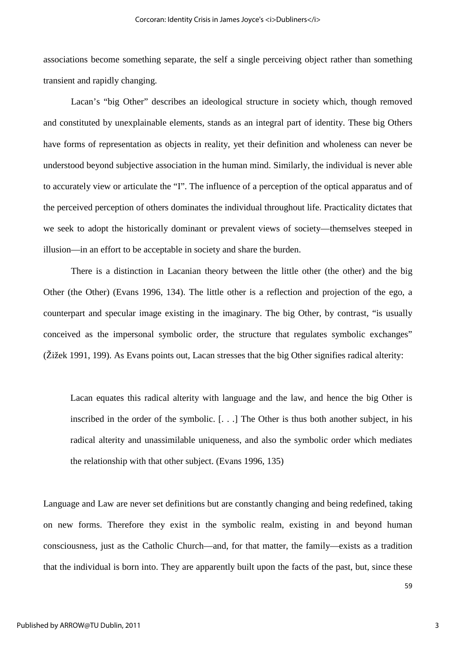associations become something separate, the self a single perceiving object rather than something transient and rapidly changing.

Lacan's "big Other" describes an ideological structure in society which, though removed and constituted by unexplainable elements, stands as an integral part of identity. These big Others have forms of representation as objects in reality, yet their definition and wholeness can never be understood beyond subjective association in the human mind. Similarly, the individual is never able to accurately view or articulate the "I". The influence of a perception of the optical apparatus and of the perceived perception of others dominates the individual throughout life. Practicality dictates that we seek to adopt the historically dominant or prevalent views of society—themselves steeped in illusion—in an effort to be acceptable in society and share the burden.

There is a distinction in Lacanian theory between the little other (the other) and the big Other (the Other) (Evans 1996, 134). The little other is a reflection and projection of the ego, a counterpart and specular image existing in the imaginary. The big Other, by contrast, "is usually conceived as the impersonal symbolic order, the structure that regulates symbolic exchanges" (Žižek 1991, 199). As Evans points out, Lacan stresses that the big Other signifies radical alterity:

Lacan equates this radical alterity with language and the law, and hence the big Other is inscribed in the order of the symbolic. [. . .] The Other is thus both another subject, in his radical alterity and unassimilable uniqueness, and also the symbolic order which mediates the relationship with that other subject. (Evans 1996, 135)

Language and Law are never set definitions but are constantly changing and being redefined, taking on new forms. Therefore they exist in the symbolic realm, existing in and beyond human consciousness, just as the Catholic Church—and, for that matter, the family—exists as a tradition that the individual is born into. They are apparently built upon the facts of the past, but, since these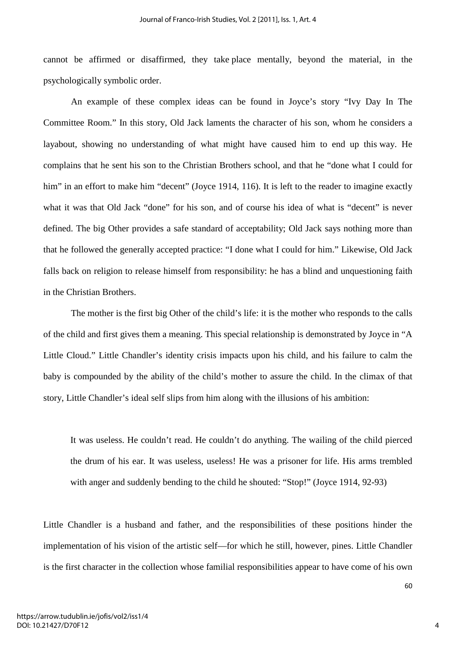cannot be affirmed or disaffirmed, they take place mentally, beyond the material, in the psychologically symbolic order.

An example of these complex ideas can be found in Joyce's story "Ivy Day In The Committee Room." In this story, Old Jack laments the character of his son, whom he considers a layabout, showing no understanding of what might have caused him to end up this way. He complains that he sent his son to the Christian Brothers school, and that he "done what I could for him" in an effort to make him "decent" (Joyce 1914, 116). It is left to the reader to imagine exactly what it was that Old Jack "done" for his son, and of course his idea of what is "decent" is never defined. The big Other provides a safe standard of acceptability; Old Jack says nothing more than that he followed the generally accepted practice: "I done what I could for him." Likewise, Old Jack falls back on religion to release himself from responsibility: he has a blind and unquestioning faith in the Christian Brothers.

The mother is the first big Other of the child's life: it is the mother who responds to the calls of the child and first gives them a meaning. This special relationship is demonstrated by Joyce in "A Little Cloud." Little Chandler's identity crisis impacts upon his child, and his failure to calm the baby is compounded by the ability of the child's mother to assure the child. In the climax of that story, Little Chandler's ideal self slips from him along with the illusions of his ambition:

It was useless. He couldn't read. He couldn't do anything. The wailing of the child pierced the drum of his ear. It was useless, useless! He was a prisoner for life. His arms trembled with anger and suddenly bending to the child he shouted: "Stop!" (Joyce 1914, 92-93)

Little Chandler is a husband and father, and the responsibilities of these positions hinder the implementation of his vision of the artistic self—for which he still, however, pines. Little Chandler is the first character in the collection whose familial responsibilities appear to have come of his own

https://arrow.tudublin.ie/jofis/vol2/iss1/4 DOI: 10.21427/D70F12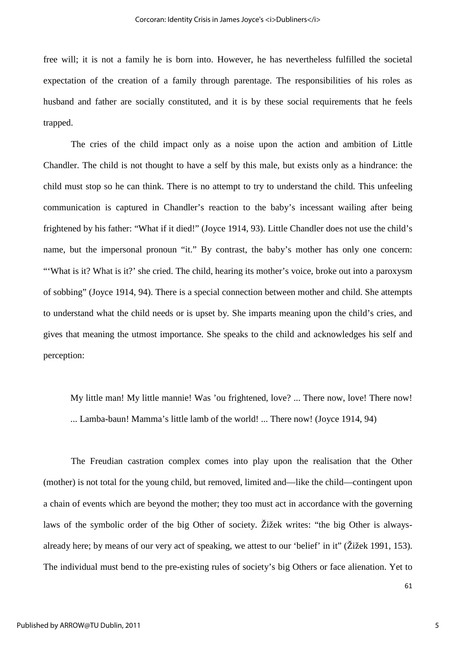free will; it is not a family he is born into. However, he has nevertheless fulfilled the societal expectation of the creation of a family through parentage. The responsibilities of his roles as husband and father are socially constituted, and it is by these social requirements that he feels trapped.

The cries of the child impact only as a noise upon the action and ambition of Little Chandler. The child is not thought to have a self by this male, but exists only as a hindrance: the child must stop so he can think. There is no attempt to try to understand the child. This unfeeling communication is captured in Chandler's reaction to the baby's incessant wailing after being frightened by his father: "What if it died!" (Joyce 1914, 93). Little Chandler does not use the child's name, but the impersonal pronoun "it." By contrast, the baby's mother has only one concern: "What is it? What is it?' she cried. The child, hearing its mother's voice, broke out into a paroxysm of sobbing" (Joyce 1914, 94). There is a special connection between mother and child. She attempts to understand what the child needs or is upset by. She imparts meaning upon the child's cries, and gives that meaning the utmost importance. She speaks to the child and acknowledges his self and perception:

My little man! My little mannie! Was 'ou frightened, love? ... There now, love! There now! ... Lamba-baun! Mamma's little lamb of the world! ... There now! (Joyce 1914, 94)

The Freudian castration complex comes into play upon the realisation that the Other (mother) is not total for the young child, but removed, limited and—like the child—contingent upon a chain of events which are beyond the mother; they too must act in accordance with the governing laws of the symbolic order of the big Other of society. Žižek writes: "the big Other is alwaysalready here; by means of our very act of speaking, we attest to our 'belief' in it" (Žižek 1991, 153). The individual must bend to the pre-existing rules of society's big Others or face alienation. Yet to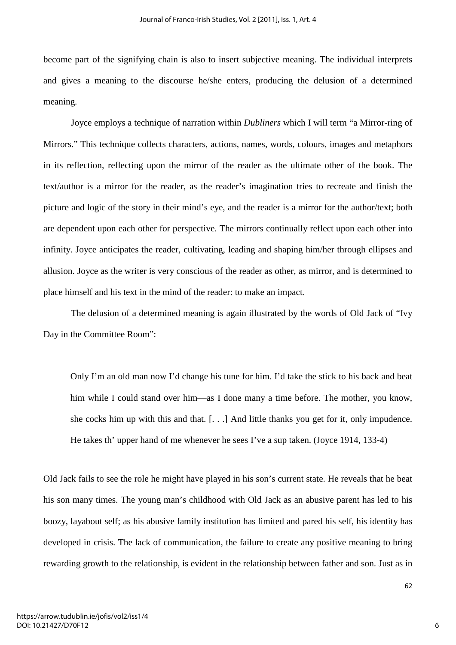become part of the signifying chain is also to insert subjective meaning. The individual interprets and gives a meaning to the discourse he/she enters, producing the delusion of a determined meaning.

Joyce employs a technique of narration within *Dubliners* which I will term "a Mirror-ring of Mirrors." This technique collects characters, actions, names, words, colours, images and metaphors in its reflection, reflecting upon the mirror of the reader as the ultimate other of the book. The text/author is a mirror for the reader, as the reader's imagination tries to recreate and finish the picture and logic of the story in their mind's eye, and the reader is a mirror for the author/text; both are dependent upon each other for perspective. The mirrors continually reflect upon each other into infinity. Joyce anticipates the reader, cultivating, leading and shaping him/her through ellipses and allusion. Joyce as the writer is very conscious of the reader as other, as mirror, and is determined to place himself and his text in the mind of the reader: to make an impact.

The delusion of a determined meaning is again illustrated by the words of Old Jack of "Ivy Day in the Committee Room":

Only I'm an old man now I'd change his tune for him. I'd take the stick to his back and beat him while I could stand over him—as I done many a time before. The mother, you know, she cocks him up with this and that.  $[...]$  And little thanks you get for it, only impudence. He takes th' upper hand of me whenever he sees I've a sup taken. (Joyce 1914, 133-4)

Old Jack fails to see the role he might have played in his son's current state. He reveals that he beat his son many times. The young man's childhood with Old Jack as an abusive parent has led to his boozy, layabout self; as his abusive family institution has limited and pared his self, his identity has developed in crisis. The lack of communication, the failure to create any positive meaning to bring rewarding growth to the relationship, is evident in the relationship between father and son. Just as in

6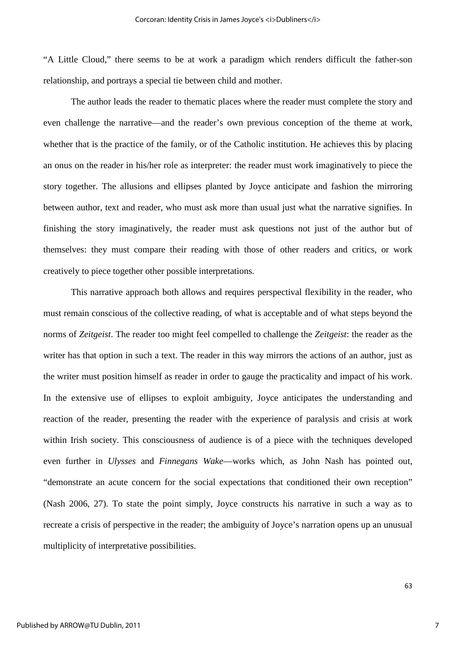"A Little Cloud," there seems to be at work a paradigm which renders difficult the father-son relationship, and portrays a special tie between child and mother.

The author leads the reader to thematic places where the reader must complete the story and even challenge the narrative—and the reader's own previous conception of the theme at work, whether that is the practice of the family, or of the Catholic institution. He achieves this by placing an onus on the reader in his/her role as interpreter: the reader must work imaginatively to piece the story together. The allusions and ellipses planted by Joyce anticipate and fashion the mirroring between author, text and reader, who must ask more than usual just what the narrative signifies. In finishing the story imaginatively, the reader must ask questions not just of the author but of themselves: they must compare their reading with those of other readers and critics, or work creatively to piece together other possible interpretations.

This narrative approach both allows and requires perspectival flexibility in the reader, who must remain conscious of the collective reading, of what is acceptable and of what steps beyond the norms of *Zeitgeist*. The reader too might feel compelled to challenge the *Zeitgeist*: the reader as the writer has that option in such a text. The reader in this way mirrors the actions of an author, just as the writer must position himself as reader in order to gauge the practicality and impact of his work. In the extensive use of ellipses to exploit ambiguity, Joyce anticipates the understanding and reaction of the reader, presenting the reader with the experience of paralysis and crisis at work within Irish society. This consciousness of audience is of a piece with the techniques developed even further in *Ulysses* and *Finnegans Wake*—works which, as John Nash has pointed out, "demonstrate an acute concern for the social expectations that conditioned their own reception" (Nash 2006, 27). To state the point simply, Joyce constructs his narrative in such a way as to recreate a crisis of perspective in the reader; the ambiguity of Joyce's narration opens up an unusual multiplicity of interpretative possibilities.

7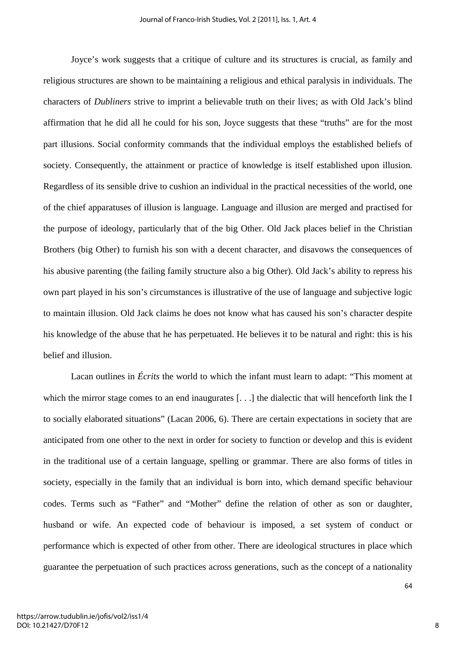Joyce's work suggests that a critique of culture and its structures is crucial, as family and religious structures are shown to be maintaining a religious and ethical paralysis in individuals. The characters of *Dubliners* strive to imprint a believable truth on their lives; as with Old Jack's blind affirmation that he did all he could for his son, Joyce suggests that these "truths" are for the most part illusions. Social conformity commands that the individual employs the established beliefs of society. Consequently, the attainment or practice of knowledge is itself established upon illusion. Regardless of its sensible drive to cushion an individual in the practical necessities of the world, one of the chief apparatuses of illusion is language. Language and illusion are merged and practised for the purpose of ideology, particularly that of the big Other. Old Jack places belief in the Christian Brothers (big Other) to furnish his son with a decent character, and disavows the consequences of his abusive parenting (the failing family structure also a big Other). Old Jack's ability to repress his own part played in his son's circumstances is illustrative of the use of language and subjective logic to maintain illusion. Old Jack claims he does not know what has caused his son's character despite his knowledge of the abuse that he has perpetuated. He believes it to be natural and right: this is his belief and illusion.

Lacan outlines in *Écrits* the world to which the infant must learn to adapt: "This moment at which the mirror stage comes to an end inaugurates [...] the dialectic that will henceforth link the I to socially elaborated situations" (Lacan 2006, 6). There are certain expectations in society that are anticipated from one other to the next in order for society to function or develop and this is evident in the traditional use of a certain language, spelling or grammar. There are also forms of titles in society, especially in the family that an individual is born into, which demand specific behaviour codes. Terms such as "Father" and "Mother" define the relation of other as son or daughter, husband or wife. An expected code of behaviour is imposed, a set system of conduct or performance which is expected of other from other. There are ideological structures in place which guarantee the perpetuation of such practices across generations, such as the concept of a nationality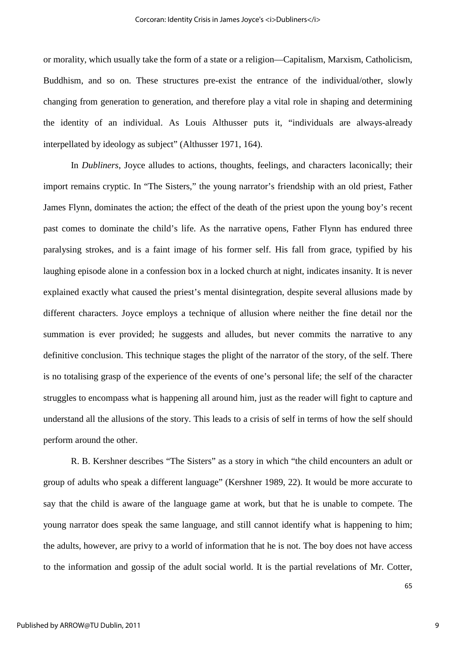or morality, which usually take the form of a state or a religion—Capitalism, Marxism, Catholicism, Buddhism, and so on. These structures pre-exist the entrance of the individual/other, slowly changing from generation to generation, and therefore play a vital role in shaping and determining the identity of an individual. As Louis Althusser puts it, "individuals are always-already interpellated by ideology as subject" (Althusser 1971, 164).

 In *Dubliners*, Joyce alludes to actions, thoughts, feelings, and characters laconically; their import remains cryptic. In "The Sisters," the young narrator's friendship with an old priest, Father James Flynn, dominates the action; the effect of the death of the priest upon the young boy's recent past comes to dominate the child's life. As the narrative opens, Father Flynn has endured three paralysing strokes, and is a faint image of his former self. His fall from grace, typified by his laughing episode alone in a confession box in a locked church at night, indicates insanity. It is never explained exactly what caused the priest's mental disintegration, despite several allusions made by different characters. Joyce employs a technique of allusion where neither the fine detail nor the summation is ever provided; he suggests and alludes, but never commits the narrative to any definitive conclusion. This technique stages the plight of the narrator of the story, of the self. There is no totalising grasp of the experience of the events of one's personal life; the self of the character struggles to encompass what is happening all around him, just as the reader will fight to capture and understand all the allusions of the story. This leads to a crisis of self in terms of how the self should perform around the other.

R. B. Kershner describes "The Sisters" as a story in which "the child encounters an adult or group of adults who speak a different language" (Kershner 1989, 22). It would be more accurate to say that the child is aware of the language game at work, but that he is unable to compete. The young narrator does speak the same language, and still cannot identify what is happening to him; the adults, however, are privy to a world of information that he is not. The boy does not have access to the information and gossip of the adult social world. It is the partial revelations of Mr. Cotter,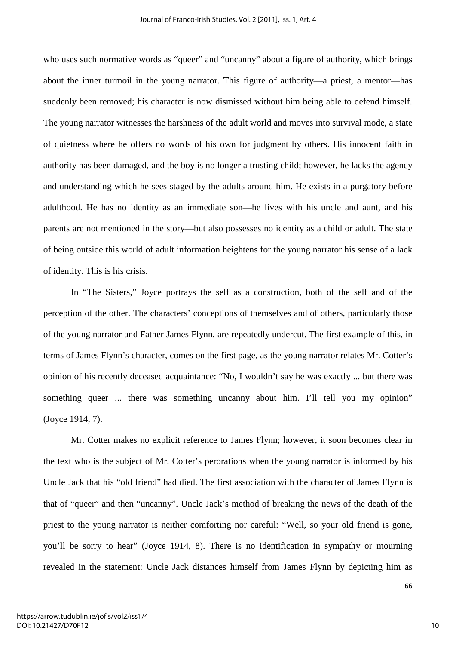who uses such normative words as "queer" and "uncanny" about a figure of authority, which brings about the inner turmoil in the young narrator. This figure of authority—a priest, a mentor—has suddenly been removed; his character is now dismissed without him being able to defend himself. The young narrator witnesses the harshness of the adult world and moves into survival mode, a state of quietness where he offers no words of his own for judgment by others. His innocent faith in authority has been damaged, and the boy is no longer a trusting child; however, he lacks the agency and understanding which he sees staged by the adults around him. He exists in a purgatory before adulthood. He has no identity as an immediate son—he lives with his uncle and aunt, and his parents are not mentioned in the story—but also possesses no identity as a child or adult. The state of being outside this world of adult information heightens for the young narrator his sense of a lack of identity. This is his crisis.

In "The Sisters," Joyce portrays the self as a construction, both of the self and of the perception of the other. The characters' conceptions of themselves and of others, particularly those of the young narrator and Father James Flynn, are repeatedly undercut. The first example of this, in terms of James Flynn's character, comes on the first page, as the young narrator relates Mr. Cotter's opinion of his recently deceased acquaintance: "No, I wouldn't say he was exactly ... but there was something queer ... there was something uncanny about him. I'll tell you my opinion" (Joyce 1914, 7).

Mr. Cotter makes no explicit reference to James Flynn; however, it soon becomes clear in the text who is the subject of Mr. Cotter's perorations when the young narrator is informed by his Uncle Jack that his "old friend" had died. The first association with the character of James Flynn is that of "queer" and then "uncanny". Uncle Jack's method of breaking the news of the death of the priest to the young narrator is neither comforting nor careful: "Well, so your old friend is gone, you'll be sorry to hear" (Joyce 1914, 8). There is no identification in sympathy or mourning revealed in the statement: Uncle Jack distances himself from James Flynn by depicting him as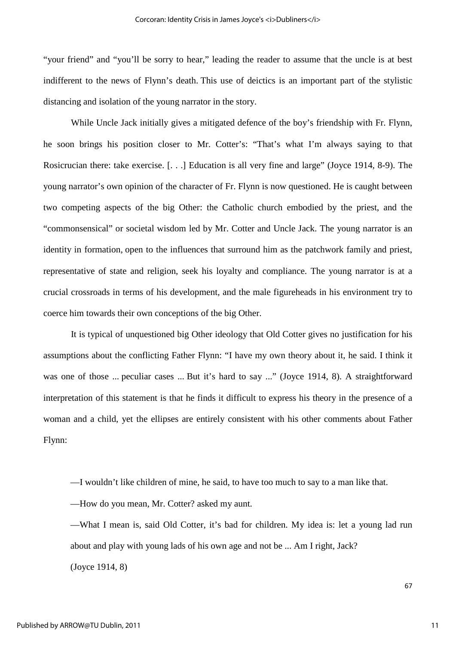"your friend" and "you'll be sorry to hear," leading the reader to assume that the uncle is at best indifferent to the news of Flynn's death. This use of deictics is an important part of the stylistic distancing and isolation of the young narrator in the story.

While Uncle Jack initially gives a mitigated defence of the boy's friendship with Fr. Flynn, he soon brings his position closer to Mr. Cotter's: "That's what I'm always saying to that Rosicrucian there: take exercise. [. . .] Education is all very fine and large" (Joyce 1914, 8-9). The young narrator's own opinion of the character of Fr. Flynn is now questioned. He is caught between two competing aspects of the big Other: the Catholic church embodied by the priest, and the "commonsensical" or societal wisdom led by Mr. Cotter and Uncle Jack. The young narrator is an identity in formation, open to the influences that surround him as the patchwork family and priest, representative of state and religion, seek his loyalty and compliance. The young narrator is at a crucial crossroads in terms of his development, and the male figureheads in his environment try to coerce him towards their own conceptions of the big Other.

It is typical of unquestioned big Other ideology that Old Cotter gives no justification for his assumptions about the conflicting Father Flynn: "I have my own theory about it, he said. I think it was one of those ... peculiar cases ... But it's hard to say ..." (Joyce 1914, 8). A straightforward interpretation of this statement is that he finds it difficult to express his theory in the presence of a woman and a child, yet the ellipses are entirely consistent with his other comments about Father Flynn:

—I wouldn't like children of mine, he said, to have too much to say to a man like that.

—How do you mean, Mr. Cotter? asked my aunt.

—What I mean is, said Old Cotter, it's bad for children. My idea is: let a young lad run about and play with young lads of his own age and not be ... Am I right, Jack? (Joyce 1914, 8)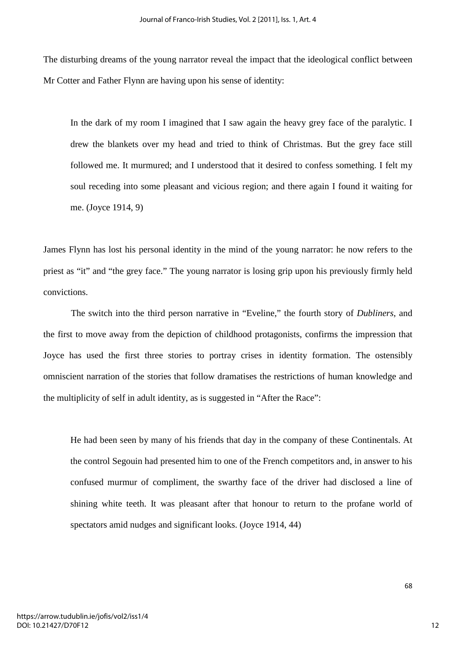The disturbing dreams of the young narrator reveal the impact that the ideological conflict between Mr Cotter and Father Flynn are having upon his sense of identity:

In the dark of my room I imagined that I saw again the heavy grey face of the paralytic. I drew the blankets over my head and tried to think of Christmas. But the grey face still followed me. It murmured; and I understood that it desired to confess something. I felt my soul receding into some pleasant and vicious region; and there again I found it waiting for me. (Joyce 1914, 9)

James Flynn has lost his personal identity in the mind of the young narrator: he now refers to the priest as "it" and "the grey face." The young narrator is losing grip upon his previously firmly held convictions.

The switch into the third person narrative in "Eveline," the fourth story of *Dubliners*, and the first to move away from the depiction of childhood protagonists, confirms the impression that Joyce has used the first three stories to portray crises in identity formation. The ostensibly omniscient narration of the stories that follow dramatises the restrictions of human knowledge and the multiplicity of self in adult identity, as is suggested in "After the Race":

He had been seen by many of his friends that day in the company of these Continentals. At the control Segouin had presented him to one of the French competitors and, in answer to his confused murmur of compliment, the swarthy face of the driver had disclosed a line of shining white teeth. It was pleasant after that honour to return to the profane world of spectators amid nudges and significant looks. (Joyce 1914, 44)

12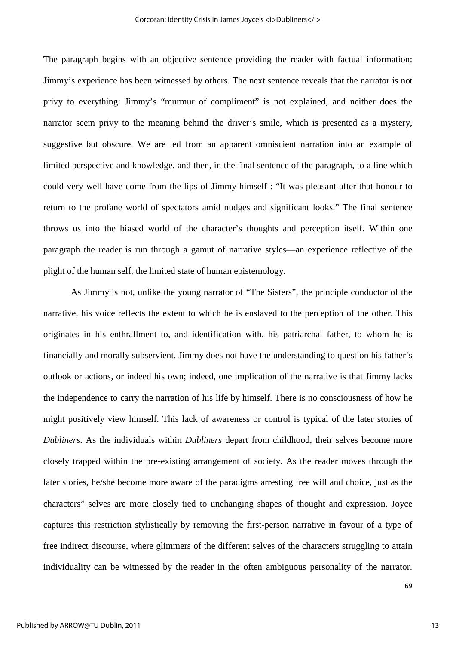The paragraph begins with an objective sentence providing the reader with factual information: Jimmy's experience has been witnessed by others. The next sentence reveals that the narrator is not privy to everything: Jimmy's "murmur of compliment" is not explained, and neither does the narrator seem privy to the meaning behind the driver's smile, which is presented as a mystery, suggestive but obscure. We are led from an apparent omniscient narration into an example of limited perspective and knowledge, and then, in the final sentence of the paragraph, to a line which could very well have come from the lips of Jimmy himself : "It was pleasant after that honour to return to the profane world of spectators amid nudges and significant looks." The final sentence throws us into the biased world of the character's thoughts and perception itself. Within one paragraph the reader is run through a gamut of narrative styles—an experience reflective of the plight of the human self, the limited state of human epistemology.

As Jimmy is not, unlike the young narrator of "The Sisters", the principle conductor of the narrative, his voice reflects the extent to which he is enslaved to the perception of the other. This originates in his enthrallment to, and identification with, his patriarchal father, to whom he is financially and morally subservient. Jimmy does not have the understanding to question his father's outlook or actions, or indeed his own; indeed, one implication of the narrative is that Jimmy lacks the independence to carry the narration of his life by himself. There is no consciousness of how he might positively view himself. This lack of awareness or control is typical of the later stories of *Dubliners*. As the individuals within *Dubliners* depart from childhood, their selves become more closely trapped within the pre-existing arrangement of society. As the reader moves through the later stories, he/she become more aware of the paradigms arresting free will and choice, just as the characters" selves are more closely tied to unchanging shapes of thought and expression. Joyce captures this restriction stylistically by removing the first-person narrative in favour of a type of free indirect discourse, where glimmers of the different selves of the characters struggling to attain individuality can be witnessed by the reader in the often ambiguous personality of the narrator.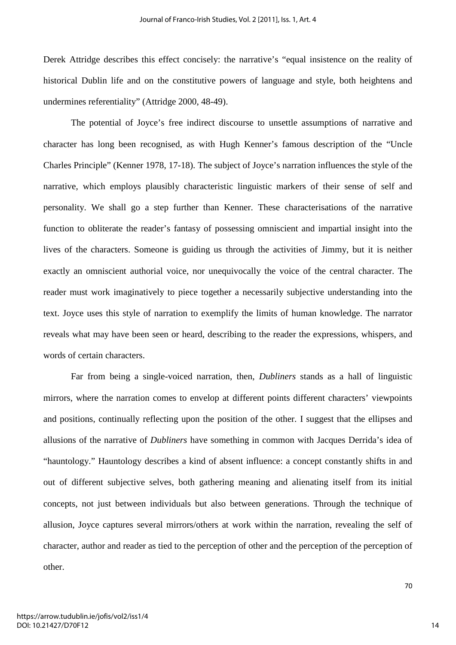Derek Attridge describes this effect concisely: the narrative's "equal insistence on the reality of historical Dublin life and on the constitutive powers of language and style, both heightens and undermines referentiality" (Attridge 2000, 48-49).

The potential of Joyce's free indirect discourse to unsettle assumptions of narrative and character has long been recognised, as with Hugh Kenner's famous description of the "Uncle Charles Principle" (Kenner 1978, 17-18). The subject of Joyce's narration influences the style of the narrative, which employs plausibly characteristic linguistic markers of their sense of self and personality. We shall go a step further than Kenner. These characterisations of the narrative function to obliterate the reader's fantasy of possessing omniscient and impartial insight into the lives of the characters. Someone is guiding us through the activities of Jimmy, but it is neither exactly an omniscient authorial voice, nor unequivocally the voice of the central character. The reader must work imaginatively to piece together a necessarily subjective understanding into the text. Joyce uses this style of narration to exemplify the limits of human knowledge. The narrator reveals what may have been seen or heard, describing to the reader the expressions, whispers, and words of certain characters.

Far from being a single-voiced narration, then, *Dubliners* stands as a hall of linguistic mirrors, where the narration comes to envelop at different points different characters' viewpoints and positions, continually reflecting upon the position of the other. I suggest that the ellipses and allusions of the narrative of *Dubliners* have something in common with Jacques Derrida's idea of "hauntology." Hauntology describes a kind of absent influence: a concept constantly shifts in and out of different subjective selves, both gathering meaning and alienating itself from its initial concepts, not just between individuals but also between generations. Through the technique of allusion, Joyce captures several mirrors/others at work within the narration, revealing the self of character, author and reader as tied to the perception of other and the perception of the perception of other.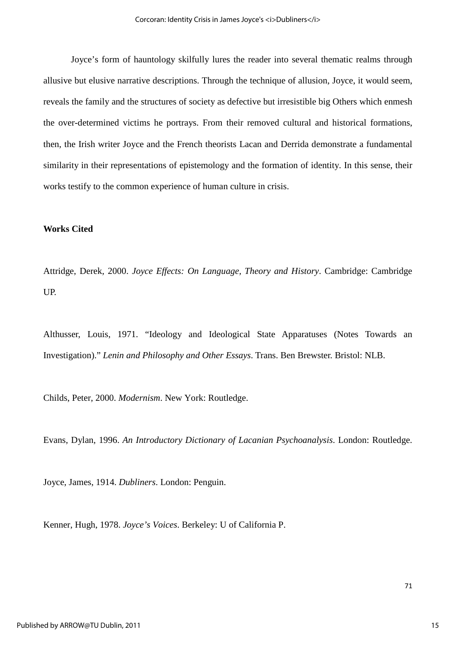Joyce's form of hauntology skilfully lures the reader into several thematic realms through allusive but elusive narrative descriptions. Through the technique of allusion, Joyce, it would seem, reveals the family and the structures of society as defective but irresistible big Others which enmesh the over-determined victims he portrays. From their removed cultural and historical formations, then, the Irish writer Joyce and the French theorists Lacan and Derrida demonstrate a fundamental similarity in their representations of epistemology and the formation of identity. In this sense, their works testify to the common experience of human culture in crisis.

#### **Works Cited**

Attridge, Derek, 2000. *Joyce Effects: On Language, Theory and History*. Cambridge: Cambridge UP.

Althusser, Louis, 1971. "Ideology and Ideological State Apparatuses (Notes Towards an Investigation)." *Lenin and Philosophy and Other Essays*. Trans. Ben Brewster. Bristol: NLB.

Childs, Peter, 2000. *Modernism*. New York: Routledge.

Evans, Dylan, 1996. *An Introductory Dictionary of Lacanian Psychoanalysis*. London: Routledge.

Joyce, James, 1914. *Dubliners*. London: Penguin.

Kenner, Hugh, 1978. *Joyce's Voices*. Berkeley: U of California P.

15